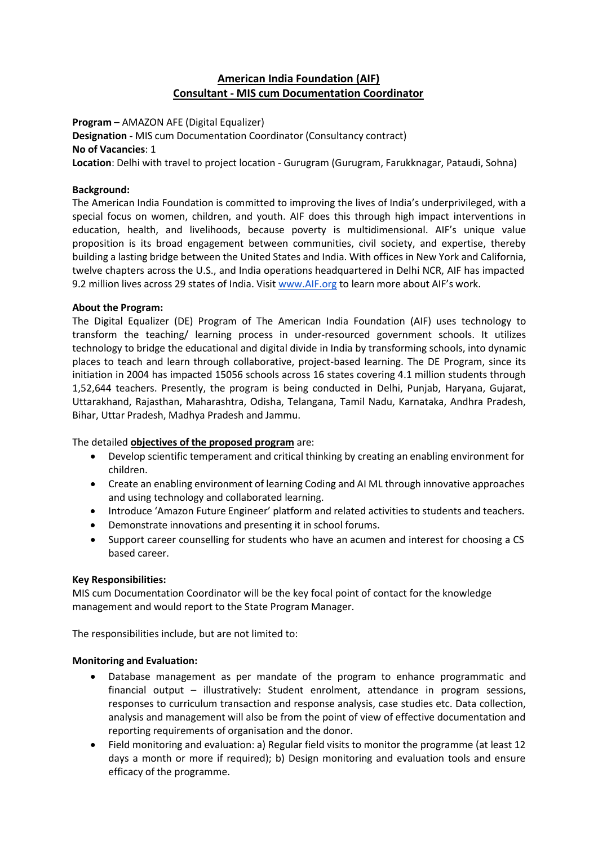# **American India Foundation (AIF) Consultant - MIS cum Documentation Coordinator**

**Program** – AMAZON AFE (Digital Equalizer)

**Designation -** MIS cum Documentation Coordinator (Consultancy contract) **No of Vacancies**: 1

**Location**: Delhi with travel to project location - Gurugram (Gurugram, Farukknagar, Pataudi, Sohna)

## **Background:**

The American India Foundation is committed to improving the lives of India's underprivileged, with a special focus on women, children, and youth. AIF does this through high impact interventions in education, health, and livelihoods, because poverty is multidimensional. AIF's unique value proposition is its broad engagement between communities, civil society, and expertise, thereby building a lasting bridge between the United States and India. With offices in New York and California, twelve chapters across the U.S., and India operations headquartered in Delhi NCR, AIF has impacted 9.2 million lives across 29 states of India. Visit [www.AIF.org](http://www.aif.org/) to learn more about AIF's work.

## **About the Program:**

The Digital Equalizer (DE) Program of The American India Foundation (AIF) uses technology to transform the teaching/ learning process in under-resourced government schools. It utilizes technology to bridge the educational and digital divide in India by transforming schools, into dynamic places to teach and learn through collaborative, project-based learning. The DE Program, since its initiation in 2004 has impacted 15056 schools across 16 states covering 4.1 million students through 1,52,644 teachers. Presently, the program is being conducted in Delhi, Punjab, Haryana, Gujarat, Uttarakhand, Rajasthan, Maharashtra, Odisha, Telangana, Tamil Nadu, Karnataka, Andhra Pradesh, Bihar, Uttar Pradesh, Madhya Pradesh and Jammu.

The detailed **objectives of the proposed program** are:

- Develop scientific temperament and critical thinking by creating an enabling environment for children.
- Create an enabling environment of learning Coding and AI ML through innovative approaches and using technology and collaborated learning.
- Introduce 'Amazon Future Engineer' platform and related activities to students and teachers.
- Demonstrate innovations and presenting it in school forums.
- Support career counselling for students who have an acumen and interest for choosing a CS based career.

#### **Key Responsibilities:**

MIS cum Documentation Coordinator will be the key focal point of contact for the knowledge management and would report to the State Program Manager.

The responsibilities include, but are not limited to:

#### **Monitoring and Evaluation:**

- Database management as per mandate of the program to enhance programmatic and financial output – illustratively: Student enrolment, attendance in program sessions, responses to curriculum transaction and response analysis, case studies etc. Data collection, analysis and management will also be from the point of view of effective documentation and reporting requirements of organisation and the donor.
- Field monitoring and evaluation: a) Regular field visits to monitor the programme (at least 12 days a month or more if required); b) Design monitoring and evaluation tools and ensure efficacy of the programme.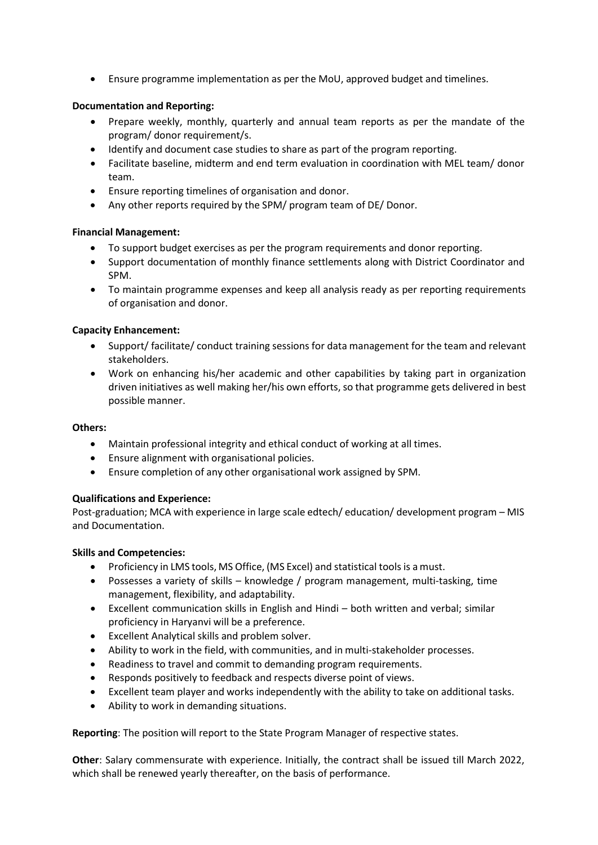• Ensure programme implementation as per the MoU, approved budget and timelines.

### **Documentation and Reporting:**

- Prepare weekly, monthly, quarterly and annual team reports as per the mandate of the program/ donor requirement/s.
- Identify and document case studies to share as part of the program reporting.
- Facilitate baseline, midterm and end term evaluation in coordination with MEL team/ donor team.
- Ensure reporting timelines of organisation and donor.
- Any other reports required by the SPM/ program team of DE/ Donor.

#### **Financial Management:**

- To support budget exercises as per the program requirements and donor reporting.
- Support documentation of monthly finance settlements along with District Coordinator and SPM.
- To maintain programme expenses and keep all analysis ready as per reporting requirements of organisation and donor.

## **Capacity Enhancement:**

- Support/ facilitate/ conduct training sessions for data management for the team and relevant stakeholders.
- Work on enhancing his/her academic and other capabilities by taking part in organization driven initiatives as well making her/his own efforts, so that programme gets delivered in best possible manner.

#### **Others:**

- Maintain professional integrity and ethical conduct of working at all times.
- Ensure alignment with organisational policies.
- Ensure completion of any other organisational work assigned by SPM.

#### **Qualifications and Experience:**

Post-graduation; MCA with experience in large scale edtech/ education/ development program – MIS and Documentation.

#### **Skills and Competencies:**

- Proficiency in LMS tools, MS Office, (MS Excel) and statistical tools is a must.
- Possesses a variety of skills knowledge / program management, multi-tasking, time management, flexibility, and adaptability.
- Excellent communication skills in English and Hindi both written and verbal; similar proficiency in Haryanvi will be a preference.
- Excellent Analytical skills and problem solver.
- Ability to work in the field, with communities, and in multi-stakeholder processes.
- Readiness to travel and commit to demanding program requirements.
- Responds positively to feedback and respects diverse point of views.
- Excellent team player and works independently with the ability to take on additional tasks.
- Ability to work in demanding situations.

**Reporting**: The position will report to the State Program Manager of respective states.

**Other**: Salary commensurate with experience. Initially, the contract shall be issued till March 2022, which shall be renewed yearly thereafter, on the basis of performance.